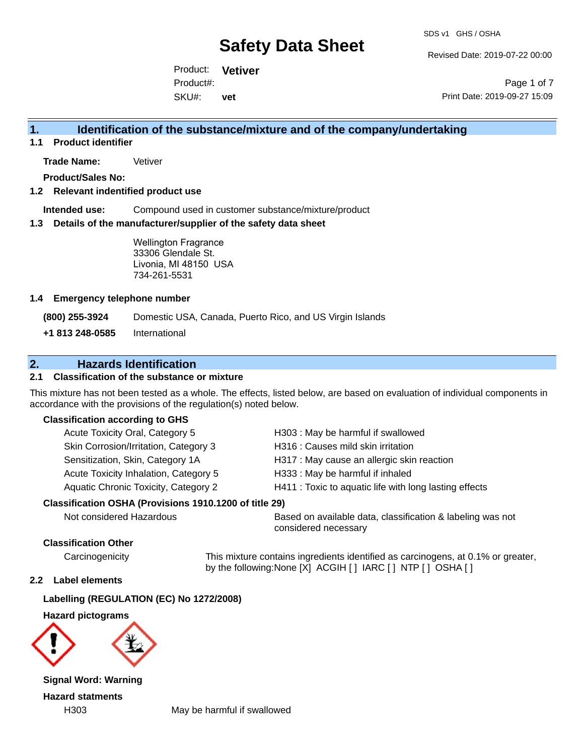Revised Date: 2019-07-22 00:00

Product: **Vetiver** SKU#: Product#: **vet**

Page 1 of 7 Print Date: 2019-09-27 15:09

### **1. Identification of the substance/mixture and of the company/undertaking**

**1.1 Product identifier**

**Trade Name:** Vetiver

**Product/Sales No:**

#### **1.2 Relevant indentified product use**

**Intended use:** Compound used in customer substance/mixture/product

#### **1.3 Details of the manufacturer/supplier of the safety data sheet**

Wellington Fragrance 33306 Glendale St. Livonia, MI 48150 USA 734-261-5531

#### **1.4 Emergency telephone number**

**(800) 255-3924** Domestic USA, Canada, Puerto Rico, and US Virgin Islands

**+1 813 248-0585** International

# **2. Hazards Identification**

### **2.1 Classification of the substance or mixture**

This mixture has not been tested as a whole. The effects, listed below, are based on evaluation of individual components in accordance with the provisions of the regulation(s) noted below.

#### **Classification according to GHS**

| Acute Toxicity Oral, Category 5                        | H303: May be harmful if swallowed                      |
|--------------------------------------------------------|--------------------------------------------------------|
| Skin Corrosion/Irritation, Category 3                  | H316 : Causes mild skin irritation                     |
| Sensitization, Skin, Category 1A                       | H317 : May cause an allergic skin reaction             |
| Acute Toxicity Inhalation, Category 5                  | H333: May be harmful if inhaled                        |
| Aquatic Chronic Toxicity, Category 2                   | H411 : Toxic to aquatic life with long lasting effects |
| Classification OSHA (Provisions 1910.1200 of title 29) |                                                        |
|                                                        |                                                        |

Not considered Hazardous Based on available data, classification & labeling was not considered necessary

#### **Classification Other**

Carcinogenicity This mixture contains ingredients identified as carcinogens, at 0.1% or greater, by the following:None [X] ACGIH [ ] IARC [ ] NTP [ ] OSHA [ ]

#### **2.2 Label elements**

#### **Labelling (REGULATION (EC) No 1272/2008)**

**Hazard pictograms**



**Signal Word: Warning Hazard statments**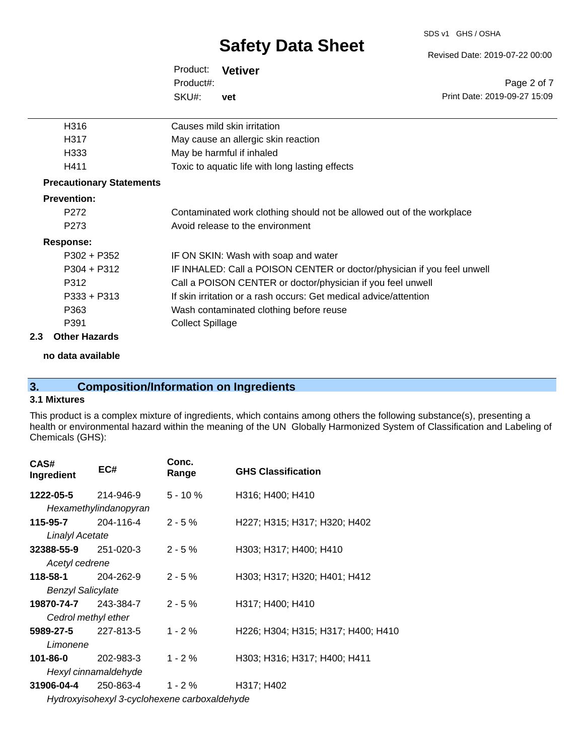#### SDS v1 GHS / OSHA

# **Safety Data Sheet**

Revised Date: 2019-07-22 00:00

| Product: Vetiver |     |   |
|------------------|-----|---|
| Product#:        |     |   |
| SKU#:            | vet | P |

Page 2 of 7 Print Date: 2019-09-27 15:09

| Causes mild skin irritation                                             |
|-------------------------------------------------------------------------|
| May cause an allergic skin reaction                                     |
| May be harmful if inhaled                                               |
| Toxic to aquatic life with long lasting effects                         |
|                                                                         |
|                                                                         |
| Contaminated work clothing should not be allowed out of the workplace   |
| Avoid release to the environment                                        |
|                                                                         |
| IF ON SKIN: Wash with soap and water                                    |
| IF INHALED: Call a POISON CENTER or doctor/physician if you feel unwell |
| Call a POISON CENTER or doctor/physician if you feel unwell             |
| If skin irritation or a rash occurs: Get medical advice/attention       |
| Wash contaminated clothing before reuse                                 |
| <b>Collect Spillage</b>                                                 |
|                                                                         |

#### **2.3 Other Hazards**

**no data available**

# **3. Composition/Information on Ingredients**

### **3.1 Mixtures**

This product is a complex mixture of ingredients, which contains among others the following substance(s), presenting a health or environmental hazard within the meaning of the UN Globally Harmonized System of Classification and Labeling of Chemicals (GHS):

| CAS#<br>Ingredient         | EC#                        | Conc.<br>Range                               | <b>GHS Classification</b>          |
|----------------------------|----------------------------|----------------------------------------------|------------------------------------|
| 1222-05-5 214-946-9        |                            | $5 - 10 \%$                                  | H316; H400; H410                   |
|                            | Hexamethylindanopyran      |                                              |                                    |
| 115-95-7                   | 204-116-4                  | $2 - 5 \%$                                   | H227; H315; H317; H320; H402       |
| <b>Linalyl Acetate</b>     |                            |                                              |                                    |
| $32388 - 55 - 9$ 251-020-3 |                            | $2 - 5%$                                     | H303; H317; H400; H410             |
| Acetyl cedrene             |                            |                                              |                                    |
| 118-58-1                   | 204-262-9                  | $2 - 5%$                                     | H303; H317; H320; H401; H412       |
| <b>Benzyl Salicylate</b>   |                            |                                              |                                    |
| 19870-74-7                 | 243-384-7                  | $2 - 5%$                                     | H317; H400; H410                   |
|                            | Cedrol methyl ether        |                                              |                                    |
|                            | <b>5989-27-5</b> 227-813-5 | $1 - 2 \%$                                   | H226; H304; H315; H317; H400; H410 |
| Limonene                   |                            |                                              |                                    |
| 101-86-0                   | 202-983-3                  | $1 - 2 \%$                                   | H303; H316; H317; H400; H411       |
|                            | Hexyl cinnamaldehyde       |                                              |                                    |
| 31906-04-4                 | 250-863-4                  | $1 - 2 \%$                                   | H317; H402                         |
|                            |                            | Hydroxyisohexyl 3-cyclohexene carboxaldehyde |                                    |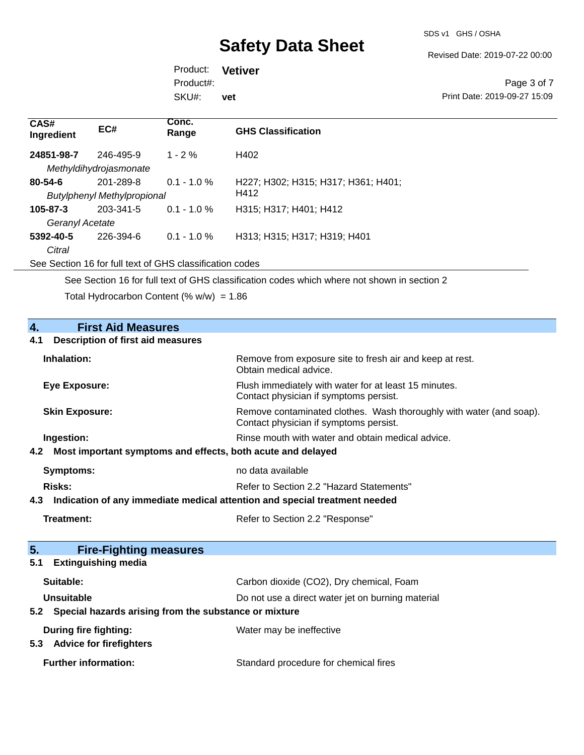Revised Date: 2019-07-22 00:00

Product: **Vetiver** SKU#: Product#: **vet**

Page 3 of 7 Print Date: 2019-09-27 15:09

| EC#       | Conc.<br>Range                            | <b>GHS Classification</b>           |
|-----------|-------------------------------------------|-------------------------------------|
| 246-495-9 | $1 - 2\%$                                 | H402                                |
|           |                                           |                                     |
| 201-289-8 | $0.1 - 1.0 \%$                            | H227; H302; H315; H317; H361; H401; |
|           |                                           | H412                                |
| 203-341-5 | $0.1 - 1.0 \%$                            | H315; H317; H401; H412              |
|           |                                           |                                     |
| 226-394-6 | $0.1 - 1.0 \%$                            | H313; H315; H317; H319; H401        |
|           |                                           |                                     |
|           | Methyldihydrojasmonate<br>Geranyl Acetate | <b>Butylphenyl Methylpropional</b>  |

See Section 16 for full text of GHS classification codes

See Section 16 for full text of GHS classification codes which where not shown in section 2

Total Hydrocarbon Content (%  $w/w$ ) = 1.86

| $\overline{4}$ .<br><b>First Aid Measures</b>                                     |                                                                                                               |
|-----------------------------------------------------------------------------------|---------------------------------------------------------------------------------------------------------------|
| <b>Description of first aid measures</b><br>4.1                                   |                                                                                                               |
| Inhalation:                                                                       | Remove from exposure site to fresh air and keep at rest.<br>Obtain medical advice.                            |
| <b>Eye Exposure:</b>                                                              | Flush immediately with water for at least 15 minutes.<br>Contact physician if symptoms persist.               |
| <b>Skin Exposure:</b>                                                             | Remove contaminated clothes. Wash thoroughly with water (and soap).<br>Contact physician if symptoms persist. |
| Ingestion:                                                                        | Rinse mouth with water and obtain medical advice.                                                             |
| Most important symptoms and effects, both acute and delayed<br>4.2                |                                                                                                               |
| Symptoms:                                                                         | no data available                                                                                             |
| Risks:                                                                            | Refer to Section 2.2 "Hazard Statements"                                                                      |
| Indication of any immediate medical attention and special treatment needed<br>4.3 |                                                                                                               |
| <b>Treatment:</b>                                                                 | Refer to Section 2.2 "Response"                                                                               |
|                                                                                   |                                                                                                               |
| 5.<br><b>Fire-Fighting measures</b>                                               |                                                                                                               |
| <b>Extinguishing media</b><br>5.1                                                 |                                                                                                               |
| Suitable:                                                                         | Carbon dioxide (CO2), Dry chemical, Foam                                                                      |
| Unsuitable                                                                        | Do not use a direct water jet on burning material                                                             |
| Special hazards arising from the substance or mixture<br>5.2                      |                                                                                                               |
| During fire fighting:<br>5.3 Advice for firefighters                              | Water may be ineffective                                                                                      |
| <b>Further information:</b>                                                       | Standard procedure for chemical fires                                                                         |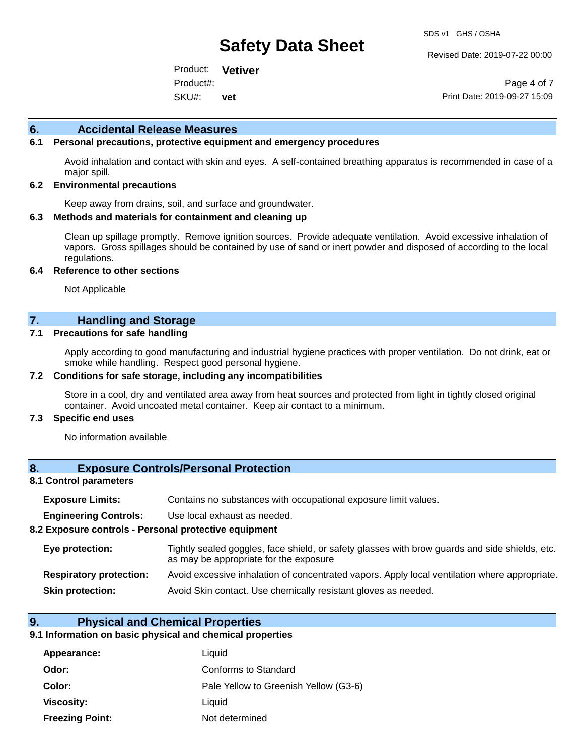Revised Date: 2019-07-22 00:00

Product: **Vetiver** SKU#: Product#: **vet**

Page 4 of 7 Print Date: 2019-09-27 15:09

#### **6. Accidental Release Measures**

#### **6.1 Personal precautions, protective equipment and emergency procedures**

Avoid inhalation and contact with skin and eyes. A self-contained breathing apparatus is recommended in case of a major spill.

#### **6.2 Environmental precautions**

Keep away from drains, soil, and surface and groundwater.

#### **6.3 Methods and materials for containment and cleaning up**

Clean up spillage promptly. Remove ignition sources. Provide adequate ventilation. Avoid excessive inhalation of vapors. Gross spillages should be contained by use of sand or inert powder and disposed of according to the local regulations.

#### **6.4 Reference to other sections**

Not Applicable

### **7. Handling and Storage**

#### **7.1 Precautions for safe handling**

Apply according to good manufacturing and industrial hygiene practices with proper ventilation. Do not drink, eat or smoke while handling. Respect good personal hygiene.

#### **7.2 Conditions for safe storage, including any incompatibilities**

Store in a cool, dry and ventilated area away from heat sources and protected from light in tightly closed original container. Avoid uncoated metal container. Keep air contact to a minimum.

#### **7.3 Specific end uses**

No information available

#### **8. Exposure Controls/Personal Protection**

#### **8.1 Control parameters**

| <b>Exposure Limits:</b> |  | Contains no substances with occupational exposure limit values. |  |  |  |
|-------------------------|--|-----------------------------------------------------------------|--|--|--|
|-------------------------|--|-----------------------------------------------------------------|--|--|--|

**Engineering Controls:** Use local exhaust as needed.

#### **8.2 Exposure controls - Personal protective equipment**

| Eye protection:                | Tightly sealed goggles, face shield, or safety glasses with brow guards and side shields, etc.<br>as may be appropriate for the exposure |
|--------------------------------|------------------------------------------------------------------------------------------------------------------------------------------|
| <b>Respiratory protection:</b> | Avoid excessive inhalation of concentrated vapors. Apply local ventilation where appropriate.                                            |
| <b>Skin protection:</b>        | Avoid Skin contact. Use chemically resistant gloves as needed.                                                                           |

#### **9. Physical and Chemical Properties**

#### **9.1 Information on basic physical and chemical properties**

| Appearance:            | Liquid                                |
|------------------------|---------------------------------------|
| Odor:                  | Conforms to Standard                  |
| Color:                 | Pale Yellow to Greenish Yellow (G3-6) |
| <b>Viscosity:</b>      | Liquid                                |
| <b>Freezing Point:</b> | Not determined                        |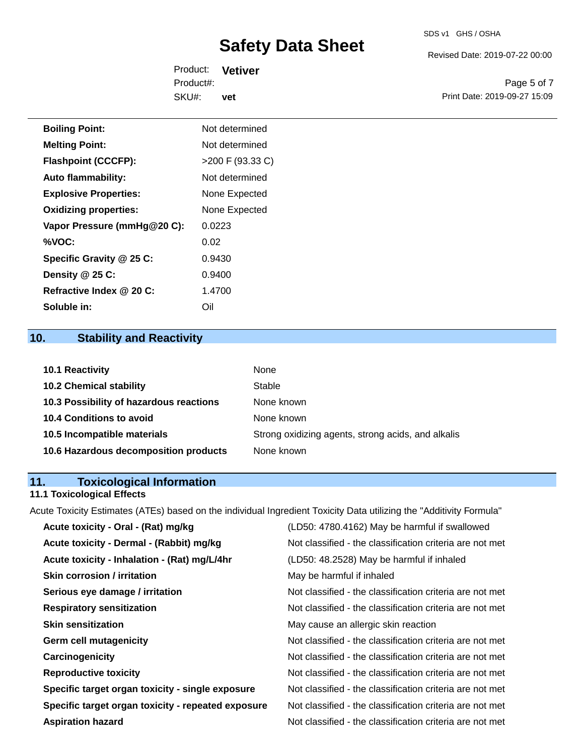#### SDS v1 GHS / OSHA

# **Safety Data Sheet**

Revised Date: 2019-07-22 00:00

Product: **Vetiver** SKU#: Product#: **vet**

Page 5 of 7 Print Date: 2019-09-27 15:09

| <b>Boiling Point:</b>        | Not determined   |
|------------------------------|------------------|
| <b>Melting Point:</b>        | Not determined   |
| <b>Flashpoint (CCCFP):</b>   | >200 F (93.33 C) |
| <b>Auto flammability:</b>    | Not determined   |
| <b>Explosive Properties:</b> | None Expected    |
| <b>Oxidizing properties:</b> | None Expected    |
| Vapor Pressure (mmHg@20 C):  | 0.0223           |
| %VOC:                        | 0.02             |
| Specific Gravity @ 25 C:     | 0.9430           |
| Density @ 25 C:              | 0.9400           |
| Refractive Index @ 20 C:     | 1.4700           |
| Soluble in:                  | Oil              |

# **10. Stability and Reactivity**

| <b>10.1 Reactivity</b>                  | None                                               |
|-----------------------------------------|----------------------------------------------------|
| <b>10.2 Chemical stability</b>          | Stable                                             |
| 10.3 Possibility of hazardous reactions | None known                                         |
| <b>10.4 Conditions to avoid</b>         | None known                                         |
| 10.5 Incompatible materials             | Strong oxidizing agents, strong acids, and alkalis |
| 10.6 Hazardous decomposition products   | None known                                         |

# **11. Toxicological Information**

### **11.1 Toxicological Effects**

Acute Toxicity Estimates (ATEs) based on the individual Ingredient Toxicity Data utilizing the "Additivity Formula"

| Acute toxicity - Oral - (Rat) mg/kg                | (LD50: 4780.4162) May be harmful if swallowed            |
|----------------------------------------------------|----------------------------------------------------------|
| Acute toxicity - Dermal - (Rabbit) mg/kg           | Not classified - the classification criteria are not met |
| Acute toxicity - Inhalation - (Rat) mg/L/4hr       | (LD50: 48.2528) May be harmful if inhaled                |
| <b>Skin corrosion / irritation</b>                 | May be harmful if inhaled                                |
| Serious eye damage / irritation                    | Not classified - the classification criteria are not met |
| <b>Respiratory sensitization</b>                   | Not classified - the classification criteria are not met |
| <b>Skin sensitization</b>                          | May cause an allergic skin reaction                      |
| <b>Germ cell mutagenicity</b>                      | Not classified - the classification criteria are not met |
| Carcinogenicity                                    | Not classified - the classification criteria are not met |
| <b>Reproductive toxicity</b>                       | Not classified - the classification criteria are not met |
| Specific target organ toxicity - single exposure   | Not classified - the classification criteria are not met |
| Specific target organ toxicity - repeated exposure | Not classified - the classification criteria are not met |
| <b>Aspiration hazard</b>                           | Not classified - the classification criteria are not met |
|                                                    |                                                          |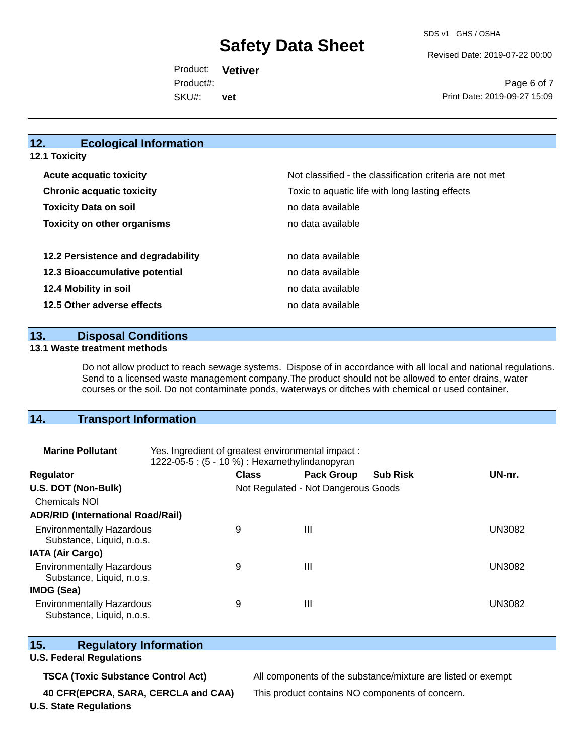Revised Date: 2019-07-22 00:00

Product: **Vetiver** SKU#: Product#: **vet**

Page 6 of 7 Print Date: 2019-09-27 15:09

# **12. Ecological Information**

| <b>Acute acquatic toxicity</b>     | Not classified - the classification criteria are not met |
|------------------------------------|----------------------------------------------------------|
| <b>Chronic acquatic toxicity</b>   | Toxic to aquatic life with long lasting effects          |
| <b>Toxicity Data on soil</b>       | no data available                                        |
| <b>Toxicity on other organisms</b> | no data available                                        |
|                                    |                                                          |
| 12.2 Persistence and degradability | no data available                                        |
| 12.3 Bioaccumulative potential     | no data available                                        |
| 12.4 Mobility in soil              | no data available                                        |
| 12.5 Other adverse effects         | no data available                                        |

#### **13. Disposal Conditions**

#### **13.1 Waste treatment methods**

Do not allow product to reach sewage systems. Dispose of in accordance with all local and national regulations. Send to a licensed waste management company.The product should not be allowed to enter drains, water courses or the soil. Do not contaminate ponds, waterways or ditches with chemical or used container.

### **14. Transport Information**

| <b>Marine Pollutant</b>                                       | Yes. Ingredient of greatest environmental impact:<br>1222-05-5: (5 - 10 %) : Hexamethylindanopyran |                                     |                   |                 |        |
|---------------------------------------------------------------|----------------------------------------------------------------------------------------------------|-------------------------------------|-------------------|-----------------|--------|
| <b>Regulator</b>                                              |                                                                                                    | <b>Class</b>                        | <b>Pack Group</b> | <b>Sub Risk</b> | UN-nr. |
| U.S. DOT (Non-Bulk)                                           |                                                                                                    | Not Regulated - Not Dangerous Goods |                   |                 |        |
| <b>Chemicals NOI</b>                                          |                                                                                                    |                                     |                   |                 |        |
| <b>ADR/RID (International Road/Rail)</b>                      |                                                                                                    |                                     |                   |                 |        |
| <b>Environmentally Hazardous</b><br>Substance, Liquid, n.o.s. |                                                                                                    | 9                                   | Ш                 |                 | UN3082 |
| <b>IATA (Air Cargo)</b>                                       |                                                                                                    |                                     |                   |                 |        |
| <b>Environmentally Hazardous</b><br>Substance, Liquid, n.o.s. |                                                                                                    | 9                                   | Ш                 |                 | UN3082 |
| IMDG (Sea)                                                    |                                                                                                    |                                     |                   |                 |        |
| <b>Environmentally Hazardous</b><br>Substance, Liquid, n.o.s. |                                                                                                    | 9                                   | Ш                 |                 | UN3082 |

### **15. Regulatory Information**

#### **U.S. Federal Regulations**

**TSCA (Toxic Substance Control Act)** All components of the substance/mixture are listed or exempt

**40 CFR(EPCRA, SARA, CERCLA and CAA)** This product contains NO components of concern.